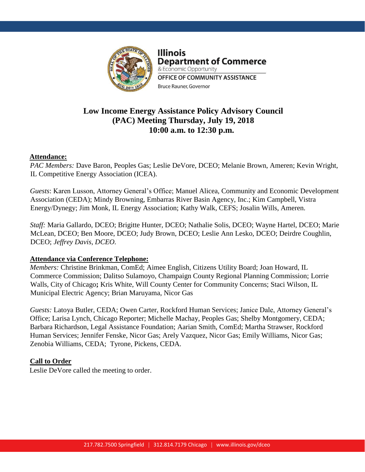

**Illinois Department of Commerce** & Economic Opportunity OFFICE OF COMMUNITY ASSISTANCE Bruce Rauner, Governor

# **Low Income Energy Assistance Policy Advisory Council (PAC) Meeting Thursday, July 19, 2018 10:00 a.m. to 12:30 p.m.**

### **Attendance:**

*PAC Members:* Dave Baron, Peoples Gas; Leslie DeVore, DCEO; Melanie Brown, Ameren; Kevin Wright, IL Competitive Energy Association (ICEA).

*Guests*: Karen Lusson, Attorney General's Office; Manuel Alicea, Community and Economic Development Association (CEDA); Mindy Browning, Embarras River Basin Agency, Inc.; Kim Campbell, Vistra Energy/Dynegy; Jim Monk, IL Energy Association; Kathy Walk, CEFS; Josalin Wills, Ameren.

*Staff:* Maria Gallardo, DCEO; Brigitte Hunter, DCEO; Nathalie Solis, DCEO; Wayne Hartel, DCEO; Marie McLean, DCEO; Ben Moore, DCEO; Judy Brown, DCEO; Leslie Ann Lesko, DCEO; Deirdre Coughlin, DCEO; *Jeffrey Davis, DCEO.*

## **Attendance via Conference Telephone:**

*Members:* Christine Brinkman, ComEd; Aimee English, Citizens Utility Board; Joan Howard, IL Commerce Commission; Dalitso Sulamoyo, Champaign County Regional Planning Commission; Lorrie Walls, City of Chicago**;** Kris White, Will County Center for Community Concerns; Staci Wilson, IL Municipal Electric Agency; Brian Maruyama, Nicor Gas

*Guests:* Latoya Butler, CEDA; Owen Carter, Rockford Human Services; Janice Dale, Attorney General's Office; Larisa Lynch, Chicago Reporter; Michelle Machay, Peoples Gas; Shelby Montgomery, CEDA; Barbara Richardson, Legal Assistance Foundation; Aarian Smith, ComEd; Martha Strawser, Rockford Human Services; Jennifer Fenske, Nicor Gas; Arely Vazquez, Nicor Gas; Emily Williams, Nicor Gas; Zenobia Williams, CEDA; Tyrone, Pickens, CEDA.

## **Call to Order**

Leslie DeVore called the meeting to order.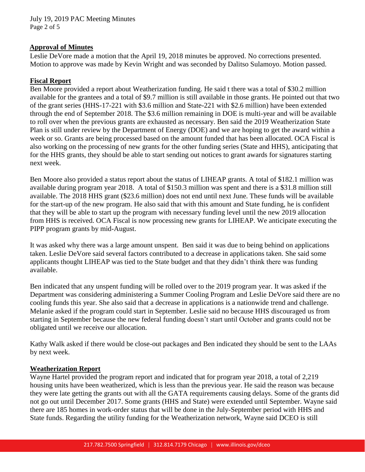July 19, 2019 PAC Meeting Minutes Page 2 of 5

### **Approval of Minutes**

Leslie DeVore made a motion that the April 19, 2018 minutes be approved. No corrections presented. Motion to approve was made by Kevin Wright and was seconded by Dalitso Sulamoyo. Motion passed.

### **Fiscal Report**

Ben Moore provided a report about Weatherization funding. He said t there was a total of \$30.2 million available for the grantees and a total of \$9.7 million is still available in those grants. He pointed out that two of the grant series (HHS-17-221 with \$3.6 million and State-221 with \$2.6 million) have been extended through the end of September 2018. The \$3.6 million remaining in DOE is multi-year and will be available to roll over when the previous grants are exhausted as necessary. Ben said the 2019 Weatherization State Plan is still under review by the Department of Energy (DOE) and we are hoping to get the award within a week or so. Grants are being processed based on the amount funded that has been allocated. OCA Fiscal is also working on the processing of new grants for the other funding series (State and HHS), anticipating that for the HHS grants, they should be able to start sending out notices to grant awards for signatures starting next week.

Ben Moore also provided a status report about the status of LIHEAP grants. A total of \$182.1 million was available during program year 2018. A total of \$150.3 million was spent and there is a \$31.8 million still available. The 2018 HHS grant (\$23.6 million) does not end until next June. These funds will be available for the start-up of the new program. He also said that with this amount and State funding, he is confident that they will be able to start up the program with necessary funding level until the new 2019 allocation from HHS is received. OCA Fiscal is now processing new grants for LIHEAP. We anticipate executing the PIPP program grants by mid-August.

It was asked why there was a large amount unspent. Ben said it was due to being behind on applications taken. Leslie DeVore said several factors contributed to a decrease in applications taken. She said some applicants thought LIHEAP was tied to the State budget and that they didn't think there was funding available.

Ben indicated that any unspent funding will be rolled over to the 2019 program year. It was asked if the Department was considering administering a Summer Cooling Program and Leslie DeVore said there are no cooling funds this year. She also said that a decrease in applications is a nationwide trend and challenge. Melanie asked if the program could start in September. Leslie said no because HHS discouraged us from starting in September because the new federal funding doesn't start until October and grants could not be obligated until we receive our allocation.

Kathy Walk asked if there would be close-out packages and Ben indicated they should be sent to the LAAs by next week.

### **Weatherization Report**

Wayne Hartel provided the program report and indicated that for program year 2018, a total of 2,219 housing units have been weatherized, which is less than the previous year. He said the reason was because they were late getting the grants out with all the GATA requirements causing delays. Some of the grants did not go out until December 2017. Some grants (HHS and State) were extended until September. Wayne said there are 185 homes in work-order status that will be done in the July-September period with HHS and State funds. Regarding the utility funding for the Weatherization network, Wayne said DCEO is still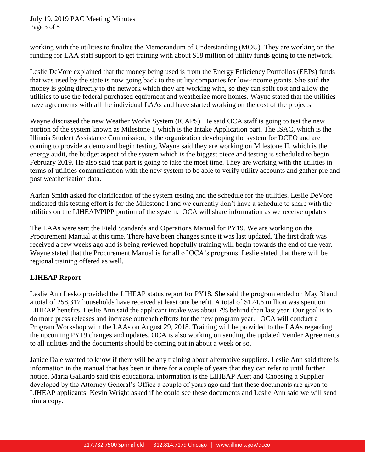July 19, 2019 PAC Meeting Minutes Page 3 of 5

working with the utilities to finalize the Memorandum of Understanding (MOU). They are working on the funding for LAA staff support to get training with about \$18 million of utility funds going to the network.

Leslie DeVore explained that the money being used is from the Energy Efficiency Portfolios (EEPs) funds that was used by the state is now going back to the utility companies for low-income grants. She said the money is going directly to the network which they are working with, so they can split cost and allow the utilities to use the federal purchased equipment and weatherize more homes. Wayne stated that the utilities have agreements with all the individual LAAs and have started working on the cost of the projects.

Wayne discussed the new Weather Works System (ICAPS). He said OCA staff is going to test the new portion of the system known as Milestone I, which is the Intake Application part. The ISAC, which is the Illinois Student Assistance Commission, is the organization developing the system for DCEO and are coming to provide a demo and begin testing. Wayne said they are working on Milestone II, which is the energy audit, the budget aspect of the system which is the biggest piece and testing is scheduled to begin February 2019. He also said that part is going to take the most time. They are working with the utilities in terms of utilities communication with the new system to be able to verify utility accounts and gather pre and post weatherization data.

Aarian Smith asked for clarification of the system testing and the schedule for the utilities. Leslie DeVore indicated this testing effort is for the Milestone I and we currently don't have a schedule to share with the utilities on the LIHEAP/PIPP portion of the system. OCA will share information as we receive updates

The LAAs were sent the Field Standards and Operations Manual for PY19. We are working on the Procurement Manual at this time. There have been changes since it was last updated. The first draft was received a few weeks ago and is being reviewed hopefully training will begin towards the end of the year. Wayne stated that the Procurement Manual is for all of OCA's programs. Leslie stated that there will be regional training offered as well.

## **LIHEAP Report**

.

Leslie Ann Lesko provided the LIHEAP status report for PY18. She said the program ended on May 31and a total of 258,317 households have received at least one benefit. A total of \$124.6 million was spent on LIHEAP benefits. Leslie Ann said the applicant intake was about 7% behind than last year. Our goal is to do more press releases and increase outreach efforts for the new program year. OCA will conduct a Program Workshop with the LAAs on August 29, 2018. Training will be provided to the LAAs regarding the upcoming PY19 changes and updates. OCA is also working on sending the updated Vender Agreements to all utilities and the documents should be coming out in about a week or so.

Janice Dale wanted to know if there will be any training about alternative suppliers. Leslie Ann said there is information in the manual that has been in there for a couple of years that they can refer to until further notice. Maria Gallardo said this educational information is the LIHEAP Alert and Choosing a Supplier developed by the Attorney General's Office a couple of years ago and that these documents are given to LIHEAP applicants. Kevin Wright asked if he could see these documents and Leslie Ann said we will send him a copy.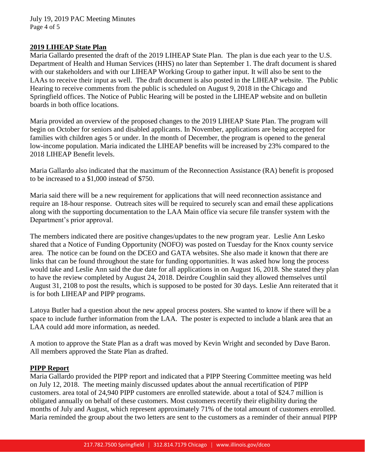### **2019 LIHEAP State Plan**

Maria Gallardo presented the draft of the 2019 LIHEAP State Plan. The plan is due each year to the U.S. Department of Health and Human Services (HHS) no later than September 1. The draft document is shared with our stakeholders and with our LIHEAP Working Group to gather input. It will also be sent to the LAAs to receive their input as well. The draft document is also posted in the LIHEAP website. The Public Hearing to receive comments from the public is scheduled on August 9, 2018 in the Chicago and Springfield offices. The Notice of Public Hearing will be posted in the LIHEAP website and on bulletin boards in both office locations.

Maria provided an overview of the proposed changes to the 2019 LIHEAP State Plan. The program will begin on October for seniors and disabled applicants. In November, applications are being accepted for families with children ages 5 or under. In the month of December, the program is opened to the general low-income population. Maria indicated the LIHEAP benefits will be increased by 23% compared to the 2018 LIHEAP Benefit levels.

Maria Gallardo also indicated that the maximum of the Reconnection Assistance (RA) benefit is proposed to be increased to a \$1,000 instead of \$750.

Maria said there will be a new requirement for applications that will need reconnection assistance and require an 18-hour response. Outreach sites will be required to securely scan and email these applications along with the supporting documentation to the LAA Main office via secure file transfer system with the Department's prior approval.

The members indicated there are positive changes/updates to the new program year. Leslie Ann Lesko shared that a Notice of Funding Opportunity (NOFO) was posted on Tuesday for the Knox county service area. The notice can be found on the DCEO and GATA websites. She also made it known that there are links that can be found throughout the state for funding opportunities. It was asked how long the process would take and Leslie Ann said the due date for all applications in on August 16, 2018. She stated they plan to have the review completed by August 24, 2018. Deirdre Coughlin said they allowed themselves until August 31, 2108 to post the results, which is supposed to be posted for 30 days. Leslie Ann reiterated that it is for both LIHEAP and PIPP programs.

Latoya Butler had a question about the new appeal process posters. She wanted to know if there will be a space to include further information from the LAA. The poster is expected to include a blank area that an LAA could add more information, as needed.

A motion to approve the State Plan as a draft was moved by Kevin Wright and seconded by Dave Baron. All members approved the State Plan as drafted.

### **PIPP Report**

Maria Gallardo provided the PIPP report and indicated that a PIPP Steering Committee meeting was held on July 12, 2018. The meeting mainly discussed updates about the annual recertification of PIPP customers. area total of 24,940 PIPP customers are enrolled statewide. about a total of \$24.7 million is obligated annually on behalf of these customers. Most customers recertify their eligibility during the months of July and August, which represent approximately 71% of the total amount of customers enrolled. Maria reminded the group about the two letters are sent to the customers as a reminder of their annual PIPP